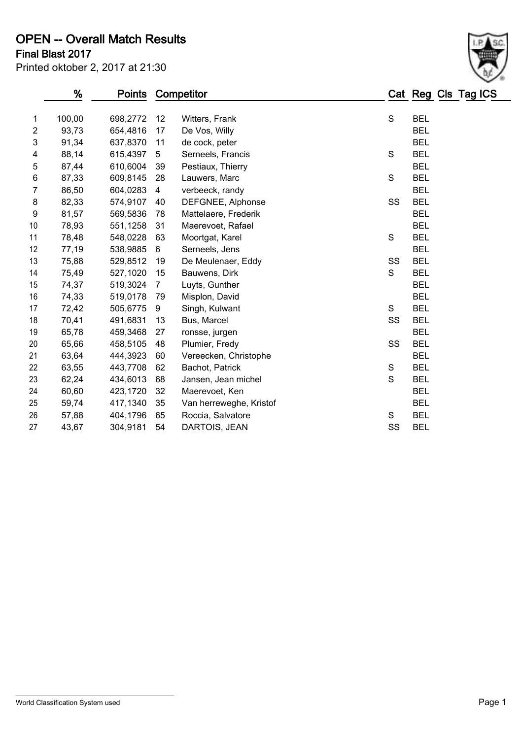# OPEN -- Overall Match Results

| Printed oktober 2, 2017 at 21:30 |  |  |  |
|----------------------------------|--|--|--|
|----------------------------------|--|--|--|

### Final Blast 2017

|                | %      | Points   |                | Competitor              |             |            | Cat Reg Cls Tag ICS |
|----------------|--------|----------|----------------|-------------------------|-------------|------------|---------------------|
| $\mathbf 1$    | 100,00 | 698,2772 | 12             | Witters, Frank          | S           | <b>BEL</b> |                     |
| $\overline{2}$ | 93,73  | 654,4816 | 17             | De Vos, Willy           |             | <b>BEL</b> |                     |
| 3              | 91,34  | 637,8370 | 11             | de cock, peter          |             | <b>BEL</b> |                     |
| 4              | 88,14  | 615,4397 | 5              | Serneels, Francis       | S           | <b>BEL</b> |                     |
| $\mathbf 5$    | 87,44  | 610,6004 | 39             | Pestiaux, Thierry       |             | <b>BEL</b> |                     |
| $\,6$          | 87,33  | 609,8145 | 28             | Lauwers, Marc           | S           | <b>BEL</b> |                     |
| $\overline{7}$ | 86,50  | 604,0283 | $\overline{4}$ | verbeeck, randy         |             | <b>BEL</b> |                     |
| 8              | 82,33  | 574,9107 | 40             | DEFGNEE, Alphonse       | SS          | <b>BEL</b> |                     |
| 9              | 81,57  | 569,5836 | 78             | Mattelaere, Frederik    |             | <b>BEL</b> |                     |
| 10             | 78,93  | 551,1258 | 31             | Maerevoet, Rafael       |             | <b>BEL</b> |                     |
| 11             | 78,48  | 548,0228 | 63             | Moortgat, Karel         | S           | <b>BEL</b> |                     |
| 12             | 77,19  | 538,9885 | 6              | Serneels, Jens          |             | <b>BEL</b> |                     |
| 13             | 75,88  | 529,8512 | 19             | De Meulenaer, Eddy      | SS          | <b>BEL</b> |                     |
| 14             | 75,49  | 527,1020 | 15             | Bauwens, Dirk           | S           | <b>BEL</b> |                     |
| 15             | 74,37  | 519,3024 | $\overline{7}$ | Luyts, Gunther          |             | <b>BEL</b> |                     |
| 16             | 74,33  | 519,0178 | 79             | Misplon, David          |             | <b>BEL</b> |                     |
| 17             | 72,42  | 505,6775 | 9              | Singh, Kulwant          | S           | <b>BEL</b> |                     |
| 18             | 70,41  | 491,6831 | 13             | Bus, Marcel             | SS          | <b>BEL</b> |                     |
| 19             | 65,78  | 459,3468 | 27             | ronsse, jurgen          |             | <b>BEL</b> |                     |
| 20             | 65,66  | 458,5105 | 48             | Plumier, Fredy          | SS          | <b>BEL</b> |                     |
| 21             | 63,64  | 444,3923 | 60             | Vereecken, Christophe   |             | <b>BEL</b> |                     |
| 22             | 63,55  | 443,7708 | 62             | Bachot, Patrick         | S           | <b>BEL</b> |                     |
| 23             | 62,24  | 434,6013 | 68             | Jansen, Jean michel     | $\mathbf S$ | <b>BEL</b> |                     |
| 24             | 60,60  | 423,1720 | 32             | Maerevoet, Ken          |             | <b>BEL</b> |                     |
| 25             | 59,74  | 417,1340 | 35             | Van herreweghe, Kristof |             | <b>BEL</b> |                     |
| 26             | 57,88  | 404,1796 | 65             | Roccia, Salvatore       | S           | <b>BEL</b> |                     |
| 27             | 43,67  | 304,9181 | 54             | DARTOIS, JEAN           | SS          | <b>BEL</b> |                     |
|                |        |          |                |                         |             |            |                     |

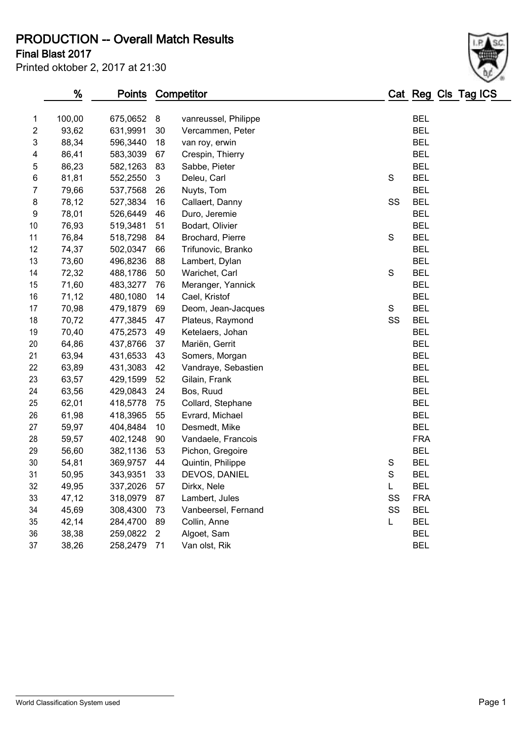PRODUCTION -- Overall Match Results

Final Blast 2017

| Printed oktober 2, 2017 at 21:30 |  |  |  |  |
|----------------------------------|--|--|--|--|
|----------------------------------|--|--|--|--|

|                | %      | <b>Points</b> |                | Competitor           |               | Cat Reg Cls Tag ICS |  |
|----------------|--------|---------------|----------------|----------------------|---------------|---------------------|--|
| 1              | 100,00 | 675,0652      | 8              | vanreussel, Philippe |               | <b>BEL</b>          |  |
| $\overline{c}$ | 93,62  | 631,9991      | 30             | Vercammen, Peter     |               | <b>BEL</b>          |  |
| 3              | 88,34  | 596,3440      | 18             | van roy, erwin       |               | <b>BEL</b>          |  |
| 4              | 86,41  | 583,3039      | 67             | Crespin, Thierry     |               | <b>BEL</b>          |  |
| 5              | 86,23  | 582,1263      | 83             | Sabbe, Pieter        |               | <b>BEL</b>          |  |
| 6              | 81,81  | 552,2550      | 3              | Deleu, Carl          | S             | <b>BEL</b>          |  |
| 7              | 79,66  | 537,7568      | 26             | Nuyts, Tom           |               | <b>BEL</b>          |  |
| 8              | 78,12  | 527,3834      | 16             | Callaert, Danny      | SS            | <b>BEL</b>          |  |
| 9              | 78,01  | 526,6449      | 46             | Duro, Jeremie        |               | <b>BEL</b>          |  |
| 10             | 76,93  | 519,3481      | 51             | Bodart, Olivier      |               | <b>BEL</b>          |  |
| 11             | 76,84  | 518,7298      | 84             | Brochard, Pierre     | ${\mathsf S}$ | <b>BEL</b>          |  |
| 12             | 74,37  | 502,0347      | 66             | Trifunovic, Branko   |               | <b>BEL</b>          |  |
| 13             | 73,60  | 496,8236      | 88             | Lambert, Dylan       |               | <b>BEL</b>          |  |
| 14             | 72,32  | 488,1786      | 50             | Warichet, Carl       | S             | <b>BEL</b>          |  |
| 15             | 71,60  | 483,3277      | 76             | Meranger, Yannick    |               | <b>BEL</b>          |  |
| 16             | 71,12  | 480,1080      | 14             | Cael, Kristof        |               | <b>BEL</b>          |  |
| 17             | 70,98  | 479,1879      | 69             | Deom, Jean-Jacques   | S             | <b>BEL</b>          |  |
| 18             | 70,72  | 477,3845      | 47             | Plateus, Raymond     | SS            | <b>BEL</b>          |  |
| 19             | 70,40  | 475,2573      | 49             | Ketelaers, Johan     |               | <b>BEL</b>          |  |
| 20             | 64,86  | 437,8766      | 37             | Mariën, Gerrit       |               | <b>BEL</b>          |  |
| 21             | 63,94  | 431,6533      | 43             | Somers, Morgan       |               | <b>BEL</b>          |  |
| 22             | 63,89  | 431,3083      | 42             | Vandraye, Sebastien  |               | <b>BEL</b>          |  |
| 23             | 63,57  | 429,1599      | 52             | Gilain, Frank        |               | <b>BEL</b>          |  |
| 24             | 63,56  | 429,0843      | 24             | Bos, Ruud            |               | <b>BEL</b>          |  |
| 25             | 62,01  | 418,5778      | 75             | Collard, Stephane    |               | <b>BEL</b>          |  |
| 26             | 61,98  | 418,3965      | 55             | Evrard, Michael      |               | <b>BEL</b>          |  |
| 27             | 59,97  | 404,8484      | 10             | Desmedt, Mike        |               | <b>BEL</b>          |  |
| 28             | 59,57  | 402,1248      | 90             | Vandaele, Francois   |               | <b>FRA</b>          |  |
| 29             | 56,60  | 382,1136      | 53             | Pichon, Gregoire     |               | <b>BEL</b>          |  |
| 30             | 54,81  | 369,9757      | 44             | Quintin, Philippe    | S             | <b>BEL</b>          |  |
| 31             | 50,95  | 343,9351      | 33             | DEVOS, DANIEL        | $\mathbf S$   | <b>BEL</b>          |  |
| 32             | 49,95  | 337,2026      | 57             | Dirkx, Nele          | L             | BEL                 |  |
| 33             | 47,12  | 318,0979      | 87             | Lambert, Jules       | SS            | <b>FRA</b>          |  |
| 34             | 45,69  | 308,4300      | 73             | Vanbeersel, Fernand  | SS            | <b>BEL</b>          |  |
| 35             | 42,14  | 284,4700      | 89             | Collin, Anne         | L             | <b>BEL</b>          |  |
| 36             | 38,38  | 259,0822      | $\overline{2}$ | Algoet, Sam          |               | <b>BEL</b>          |  |
| 37             | 38,26  | 258,2479      | 71             | Van olst, Rik        |               | <b>BEL</b>          |  |
|                |        |               |                |                      |               |                     |  |